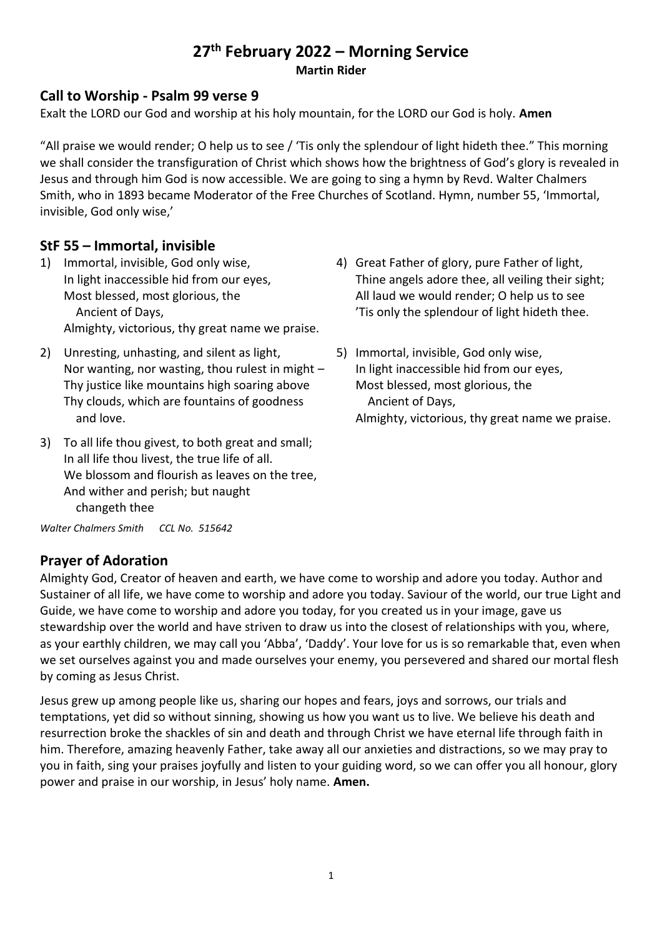# **27th February 2022 – Morning Service**

**Martin Rider**

## **Call to Worship - Psalm 99 verse 9**

Exalt the LORD our God and worship at his holy mountain, for the LORD our God is holy. **Amen**

"All praise we would render; O help us to see / 'Tis only the splendour of light hideth thee." This morning we shall consider the transfiguration of Christ which shows how the brightness of God's glory is revealed in Jesus and through him God is now accessible. We are going to sing a hymn by Revd. Walter Chalmers Smith, who in 1893 became Moderator of the Free Churches of Scotland. Hymn, number 55, 'Immortal, invisible, God only wise,'

## **StF 55 – Immortal, invisible**

- 1) Immortal, invisible, God only wise, In light inaccessible hid from our eyes, Most blessed, most glorious, the Ancient of Days, Almighty, victorious, thy great name we praise.
- 2) Unresting, unhasting, and silent as light, Nor wanting, nor wasting, thou rulest in might – Thy justice like mountains high soaring above Thy clouds, which are fountains of goodness and love.
- 3) To all life thou givest, to both great and small; In all life thou livest, the true life of all. We blossom and flourish as leaves on the tree, And wither and perish; but naught changeth thee
- 4) Great Father of glory, pure Father of light, Thine angels adore thee, all veiling their sight; All laud we would render; O help us to see 'Tis only the splendour of light hideth thee.
- 5) Immortal, invisible, God only wise, In light inaccessible hid from our eyes, Most blessed, most glorious, the Ancient of Days, Almighty, victorious, thy great name we praise.

#### *Walter Chalmers Smith CCL No. 515642*

#### **Prayer of Adoration**

Almighty God, Creator of heaven and earth, we have come to worship and adore you today. Author and Sustainer of all life, we have come to worship and adore you today. Saviour of the world, our true Light and Guide, we have come to worship and adore you today, for you created us in your image, gave us stewardship over the world and have striven to draw us into the closest of relationships with you, where, as your earthly children, we may call you 'Abba', 'Daddy'. Your love for us is so remarkable that, even when we set ourselves against you and made ourselves your enemy, you persevered and shared our mortal flesh by coming as Jesus Christ.

Jesus grew up among people like us, sharing our hopes and fears, joys and sorrows, our trials and temptations, yet did so without sinning, showing us how you want us to live. We believe his death and resurrection broke the shackles of sin and death and through Christ we have eternal life through faith in him. Therefore, amazing heavenly Father, take away all our anxieties and distractions, so we may pray to you in faith, sing your praises joyfully and listen to your guiding word, so we can offer you all honour, glory power and praise in our worship, in Jesus' holy name. **Amen.**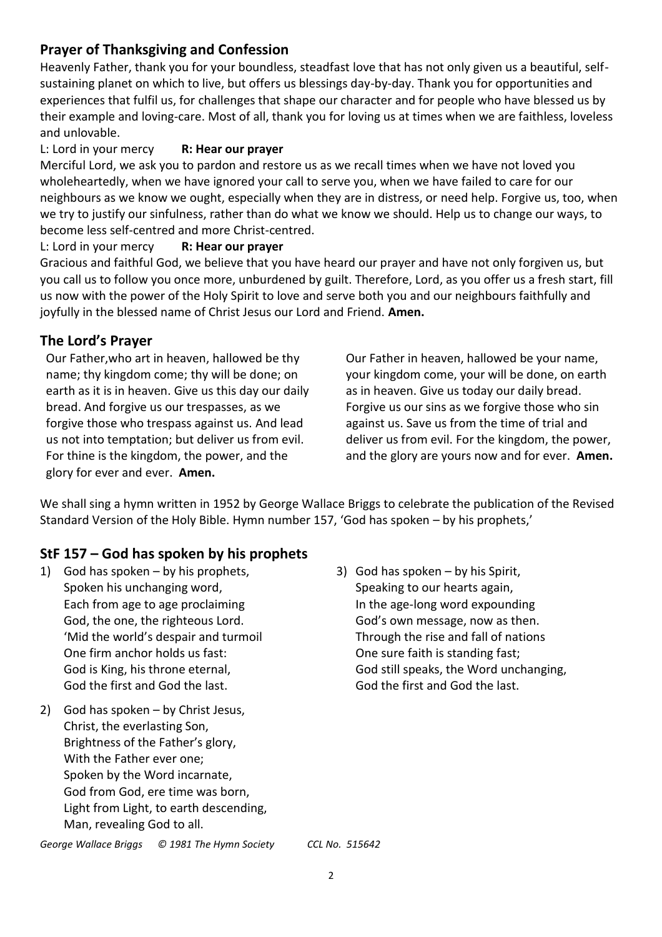#### **Prayer of Thanksgiving and Confession**

Heavenly Father, thank you for your boundless, steadfast love that has not only given us a beautiful, selfsustaining planet on which to live, but offers us blessings day-by-day. Thank you for opportunities and experiences that fulfil us, for challenges that shape our character and for people who have blessed us by their example and loving-care. Most of all, thank you for loving us at times when we are faithless, loveless and unlovable.

#### L: Lord in your mercy **R: Hear our prayer**

Merciful Lord, we ask you to pardon and restore us as we recall times when we have not loved you wholeheartedly, when we have ignored your call to serve you, when we have failed to care for our neighbours as we know we ought, especially when they are in distress, or need help. Forgive us, too, when we try to justify our sinfulness, rather than do what we know we should. Help us to change our ways, to become less self-centred and more Christ-centred.

#### L: Lord in your mercy **R: Hear our prayer**

Gracious and faithful God, we believe that you have heard our prayer and have not only forgiven us, but you call us to follow you once more, unburdened by guilt. Therefore, Lord, as you offer us a fresh start, fill us now with the power of the Holy Spirit to love and serve both you and our neighbours faithfully and joyfully in the blessed name of Christ Jesus our Lord and Friend. **Amen.**

#### **The Lord's Prayer**

Our Father,who art in heaven, hallowed be thy name; thy kingdom come; thy will be done; on earth as it is in heaven. Give us this day our daily bread. And forgive us our trespasses, as we forgive those who trespass against us. And lead us not into temptation; but deliver us from evil. For thine is the kingdom, the power, and the glory for ever and ever. **Amen.**

Our Father in heaven, hallowed be your name, your kingdom come, your will be done, on earth as in heaven. Give us today our daily bread. Forgive us our sins as we forgive those who sin against us. Save us from the time of trial and deliver us from evil. For the kingdom, the power, and the glory are yours now and for ever. **Amen.**

We shall sing a hymn written in 1952 by George Wallace Briggs to celebrate the publication of the Revised Standard Version of the Holy Bible. Hymn number 157, 'God has spoken – by his prophets,'

## **StF 157 – God has spoken by his prophets**

- 1) God has spoken by his prophets, Spoken his unchanging word, Each from age to age proclaiming God, the one, the righteous Lord. 'Mid the world's despair and turmoil One firm anchor holds us fast: God is King, his throne eternal, God the first and God the last.
- 2) God has spoken by Christ Jesus, Christ, the everlasting Son, Brightness of the Father's glory, With the Father ever one; Spoken by the Word incarnate, God from God, ere time was born, Light from Light, to earth descending, Man, revealing God to all.
- 3) God has spoken by his Spirit, Speaking to our hearts again, In the age-long word expounding God's own message, now as then. Through the rise and fall of nations One sure faith is standing fast; God still speaks, the Word unchanging, God the first and God the last.

*George Wallace Briggs © 1981 The Hymn Society CCL No. 515642*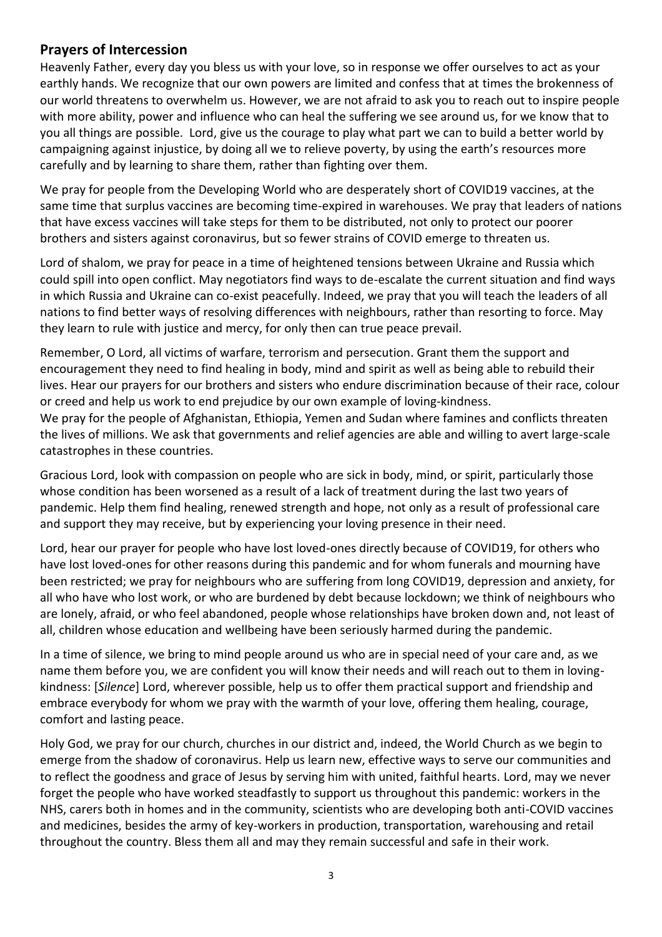#### **Prayers of Intercession**

Heavenly Father, every day you bless us with your love, so in response we offer ourselves to act as your earthly hands. We recognize that our own powers are limited and confess that at times the brokenness of our world threatens to overwhelm us. However, we are not afraid to ask you to reach out to inspire people with more ability, power and influence who can heal the suffering we see around us, for we know that to you all things are possible. Lord, give us the courage to play what part we can to build a better world by campaigning against injustice, by doing all we to relieve poverty, by using the earth's resources more carefully and by learning to share them, rather than fighting over them.

We pray for people from the Developing World who are desperately short of COVID19 vaccines, at the same time that surplus vaccines are becoming time-expired in warehouses. We pray that leaders of nations that have excess vaccines will take steps for them to be distributed, not only to protect our poorer brothers and sisters against coronavirus, but so fewer strains of COVID emerge to threaten us.

Lord of shalom, we pray for peace in a time of heightened tensions between Ukraine and Russia which could spill into open conflict. May negotiators find ways to de-escalate the current situation and find ways in which Russia and Ukraine can co-exist peacefully. Indeed, we pray that you will teach the leaders of all nations to find better ways of resolving differences with neighbours, rather than resorting to force. May they learn to rule with justice and mercy, for only then can true peace prevail.

Remember, O Lord, all victims of warfare, terrorism and persecution. Grant them the support and encouragement they need to find healing in body, mind and spirit as well as being able to rebuild their lives. Hear our prayers for our brothers and sisters who endure discrimination because of their race, colour or creed and help us work to end prejudice by our own example of loving-kindness.

We pray for the people of Afghanistan, Ethiopia, Yemen and Sudan where famines and conflicts threaten the lives of millions. We ask that governments and relief agencies are able and willing to avert large-scale catastrophes in these countries.

Gracious Lord, look with compassion on people who are sick in body, mind, or spirit, particularly those whose condition has been worsened as a result of a lack of treatment during the last two years of pandemic. Help them find healing, renewed strength and hope, not only as a result of professional care and support they may receive, but by experiencing your loving presence in their need.

Lord, hear our prayer for people who have lost loved-ones directly because of COVID19, for others who have lost loved-ones for other reasons during this pandemic and for whom funerals and mourning have been restricted; we pray for neighbours who are suffering from long COVID19, depression and anxiety, for all who have who lost work, or who are burdened by debt because lockdown; we think of neighbours who are lonely, afraid, or who feel abandoned, people whose relationships have broken down and, not least of all, children whose education and wellbeing have been seriously harmed during the pandemic.

In a time of silence, we bring to mind people around us who are in special need of your care and, as we name them before you, we are confident you will know their needs and will reach out to them in lovingkindness: [*Silence*] Lord, wherever possible, help us to offer them practical support and friendship and embrace everybody for whom we pray with the warmth of your love, offering them healing, courage, comfort and lasting peace.

Holy God, we pray for our church, churches in our district and, indeed, the World Church as we begin to emerge from the shadow of coronavirus. Help us learn new, effective ways to serve our communities and to reflect the goodness and grace of Jesus by serving him with united, faithful hearts. Lord, may we never forget the people who have worked steadfastly to support us throughout this pandemic: workers in the NHS, carers both in homes and in the community, scientists who are developing both anti-COVID vaccines and medicines, besides the army of key-workers in production, transportation, warehousing and retail throughout the country. Bless them all and may they remain successful and safe in their work.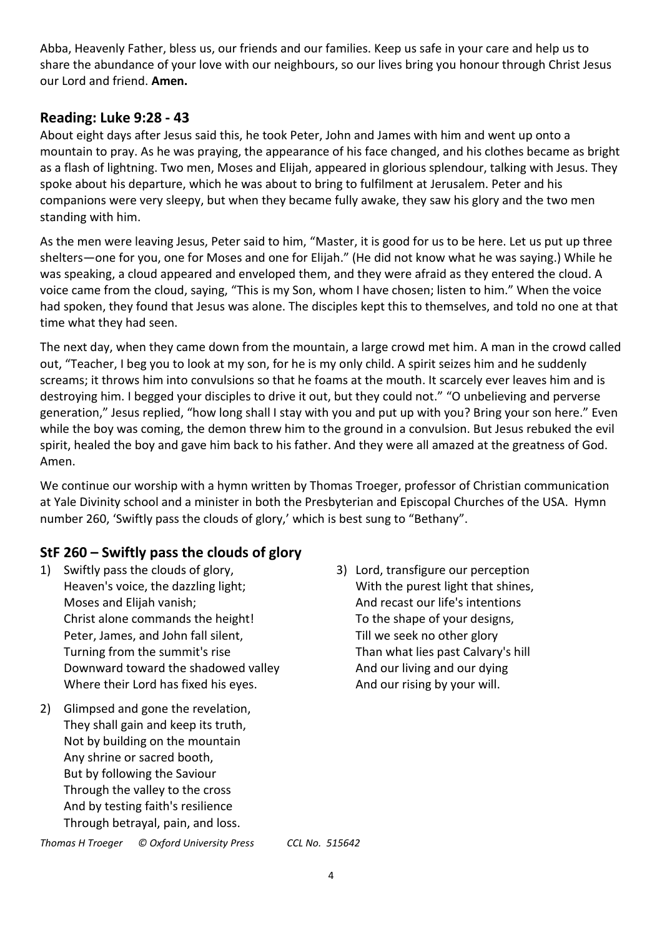Abba, Heavenly Father, bless us, our friends and our families. Keep us safe in your care and help us to share the abundance of your love with our neighbours, so our lives bring you honour through Christ Jesus our Lord and friend. **Amen.**

### **Reading: Luke 9:28 - 43**

About eight days after Jesus said this, he took Peter, John and James with him and went up onto a mountain to pray. As he was praying, the appearance of his face changed, and his clothes became as bright as a flash of lightning. Two men, Moses and Elijah, appeared in glorious splendour, talking with Jesus. They spoke about his departure, which he was about to bring to fulfilment at Jerusalem. Peter and his companions were very sleepy, but when they became fully awake, they saw his glory and the two men standing with him.

As the men were leaving Jesus, Peter said to him, "Master, it is good for us to be here. Let us put up three shelters—one for you, one for Moses and one for Elijah." (He did not know what he was saying.) While he was speaking, a cloud appeared and enveloped them, and they were afraid as they entered the cloud. A voice came from the cloud, saying, "This is my Son, whom I have chosen; listen to him." When the voice had spoken, they found that Jesus was alone. The disciples kept this to themselves, and told no one at that time what they had seen.

The next day, when they came down from the mountain, a large crowd met him. A man in the crowd called out, "Teacher, I beg you to look at my son, for he is my only child. A spirit seizes him and he suddenly screams; it throws him into convulsions so that he foams at the mouth. It scarcely ever leaves him and is destroying him. I begged your disciples to drive it out, but they could not." "O unbelieving and perverse generation," Jesus replied, "how long shall I stay with you and put up with you? Bring your son here." Even while the boy was coming, the demon threw him to the ground in a convulsion. But Jesus rebuked the evil spirit, healed the boy and gave him back to his father. And they were all amazed at the greatness of God. Amen.

We continue our worship with a hymn written by Thomas Troeger, professor of Christian communication at Yale Divinity school and a minister in both the Presbyterian and Episcopal Churches of the USA. Hymn number 260, 'Swiftly pass the clouds of glory,' which is best sung to "Bethany".

#### **StF 260 – Swiftly pass the clouds of glory**

- 1) Swiftly pass the clouds of glory, Heaven's voice, the dazzling light; Moses and Elijah vanish; Christ alone commands the height! Peter, James, and John fall silent, Turning from the summit's rise Downward toward the shadowed valley Where their Lord has fixed his eyes.
- 2) Glimpsed and gone the revelation, They shall gain and keep its truth, Not by building on the mountain Any shrine or sacred booth, But by following the Saviour Through the valley to the cross And by testing faith's resilience Through betrayal, pain, and loss.
- 3) Lord, transfigure our perception With the purest light that shines, And recast our life's intentions To the shape of your designs, Till we seek no other glory Than what lies past Calvary's hill And our living and our dying And our rising by your will.

*Thomas H Troeger © Oxford University Press CCL No. 515642*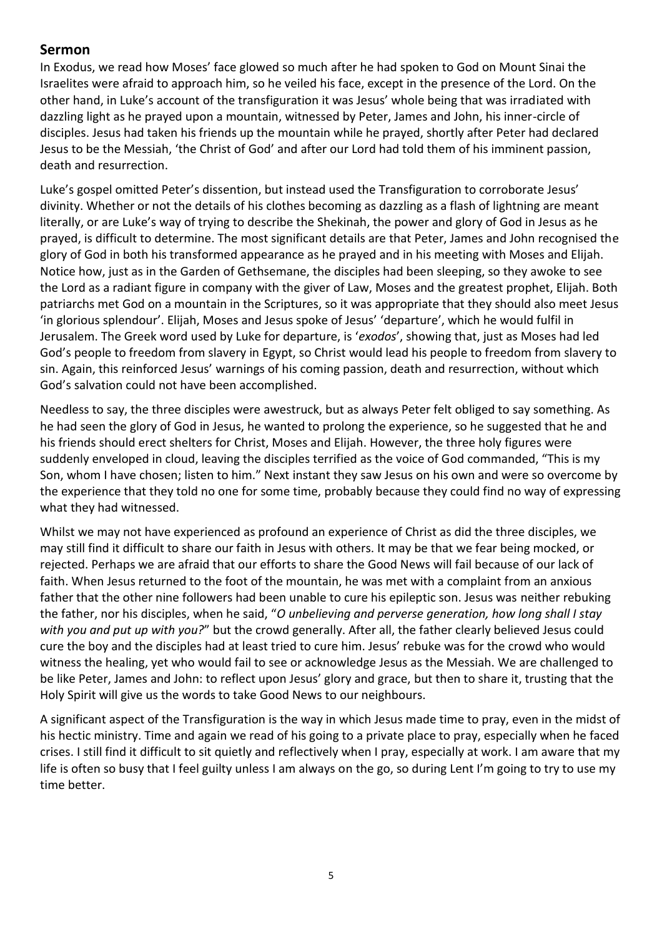#### **Sermon**

In Exodus, we read how Moses' face glowed so much after he had spoken to God on Mount Sinai the Israelites were afraid to approach him, so he veiled his face, except in the presence of the Lord. On the other hand, in Luke's account of the transfiguration it was Jesus' whole being that was irradiated with dazzling light as he prayed upon a mountain, witnessed by Peter, James and John, his inner-circle of disciples. Jesus had taken his friends up the mountain while he prayed, shortly after Peter had declared Jesus to be the Messiah, 'the Christ of God' and after our Lord had told them of his imminent passion, death and resurrection.

Luke's gospel omitted Peter's dissention, but instead used the Transfiguration to corroborate Jesus' divinity. Whether or not the details of his clothes becoming as dazzling as a flash of lightning are meant literally, or are Luke's way of trying to describe the Shekinah, the power and glory of God in Jesus as he prayed, is difficult to determine. The most significant details are that Peter, James and John recognised the glory of God in both his transformed appearance as he prayed and in his meeting with Moses and Elijah. Notice how, just as in the Garden of Gethsemane, the disciples had been sleeping, so they awoke to see the Lord as a radiant figure in company with the giver of Law, Moses and the greatest prophet, Elijah. Both patriarchs met God on a mountain in the Scriptures, so it was appropriate that they should also meet Jesus 'in glorious splendour'. Elijah, Moses and Jesus spoke of Jesus' 'departure', which he would fulfil in Jerusalem. The Greek word used by Luke for departure, is '*exodos*', showing that, just as Moses had led God's people to freedom from slavery in Egypt, so Christ would lead his people to freedom from slavery to sin. Again, this reinforced Jesus' warnings of his coming passion, death and resurrection, without which God's salvation could not have been accomplished.

Needless to say, the three disciples were awestruck, but as always Peter felt obliged to say something. As he had seen the glory of God in Jesus, he wanted to prolong the experience, so he suggested that he and his friends should erect shelters for Christ, Moses and Elijah. However, the three holy figures were suddenly enveloped in cloud, leaving the disciples terrified as the voice of God commanded, "This is my Son, whom I have chosen; listen to him." Next instant they saw Jesus on his own and were so overcome by the experience that they told no one for some time, probably because they could find no way of expressing what they had witnessed.

Whilst we may not have experienced as profound an experience of Christ as did the three disciples, we may still find it difficult to share our faith in Jesus with others. It may be that we fear being mocked, or rejected. Perhaps we are afraid that our efforts to share the Good News will fail because of our lack of faith. When Jesus returned to the foot of the mountain, he was met with a complaint from an anxious father that the other nine followers had been unable to cure his epileptic son. Jesus was neither rebuking the father, nor his disciples, when he said, "*O unbelieving and perverse generation, how long shall I stay with you and put up with you?*" but the crowd generally. After all, the father clearly believed Jesus could cure the boy and the disciples had at least tried to cure him. Jesus' rebuke was for the crowd who would witness the healing, yet who would fail to see or acknowledge Jesus as the Messiah. We are challenged to be like Peter, James and John: to reflect upon Jesus' glory and grace, but then to share it, trusting that the Holy Spirit will give us the words to take Good News to our neighbours.

A significant aspect of the Transfiguration is the way in which Jesus made time to pray, even in the midst of his hectic ministry. Time and again we read of his going to a private place to pray, especially when he faced crises. I still find it difficult to sit quietly and reflectively when I pray, especially at work. I am aware that my life is often so busy that I feel guilty unless I am always on the go, so during Lent I'm going to try to use my time better.